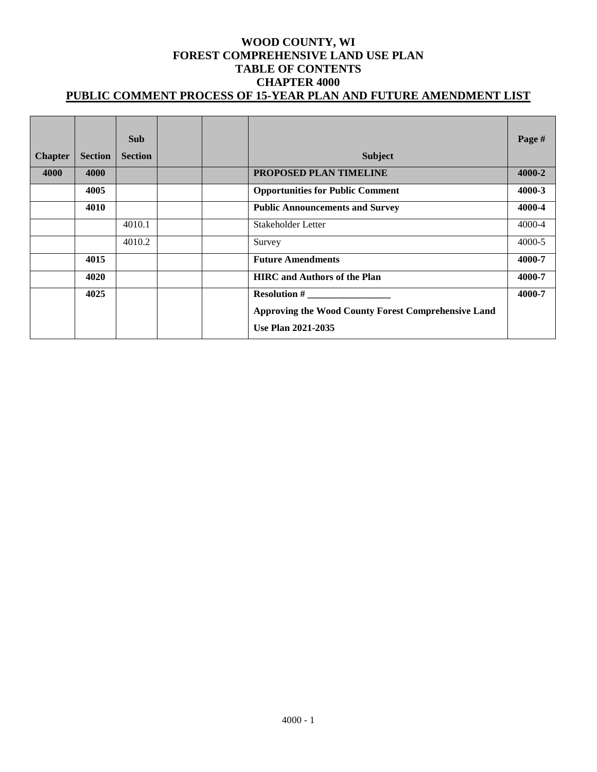### **WOOD COUNTY, WI FOREST COMPREHENSIVE LAND USE PLAN TABLE OF CONTENTS CHAPTER 4000 PUBLIC COMMENT PROCESS OF 15-YEAR PLAN AND FUTURE AMENDMENT LIST**

| <b>Chapter</b> | <b>Section</b> | <b>Sub</b><br><b>Section</b> | <b>Subject</b>                                      | Page #     |
|----------------|----------------|------------------------------|-----------------------------------------------------|------------|
| 4000           | 4000           |                              | PROPOSED PLAN TIMELINE                              | 4000-2     |
|                | 4005           |                              | <b>Opportunities for Public Comment</b>             | 4000-3     |
|                | 4010           |                              | <b>Public Announcements and Survey</b>              | 4000-4     |
|                |                | 4010.1                       | Stakeholder Letter                                  | 4000-4     |
|                |                | 4010.2                       | Survey                                              | $4000 - 5$ |
|                | 4015           |                              | <b>Future Amendments</b>                            | 4000-7     |
|                | 4020           |                              | <b>HIRC</b> and Authors of the Plan                 | 4000-7     |
|                | 4025           |                              | <b>Resolution #</b>                                 | 4000-7     |
|                |                |                              | Approving the Wood County Forest Comprehensive Land |            |
|                |                |                              | <b>Use Plan 2021-2035</b>                           |            |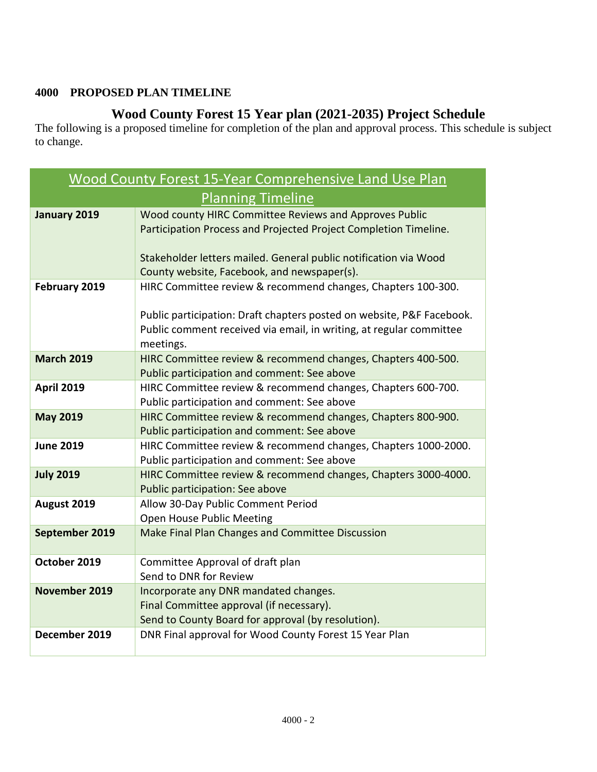# **4000 PROPOSED PLAN TIMELINE**

# **Wood County Forest 15 Year plan (2021-2035) Project Schedule**

The following is a proposed timeline for completion of the plan and approval process. This schedule is subject to change.

| <b>Wood County Forest 15-Year Comprehensive Land Use Plan</b>          |                                                                                                   |  |  |  |
|------------------------------------------------------------------------|---------------------------------------------------------------------------------------------------|--|--|--|
| <b>Planning Timeline</b>                                               |                                                                                                   |  |  |  |
| Wood county HIRC Committee Reviews and Approves Public<br>January 2019 |                                                                                                   |  |  |  |
|                                                                        | Participation Process and Projected Project Completion Timeline.                                  |  |  |  |
|                                                                        |                                                                                                   |  |  |  |
|                                                                        | Stakeholder letters mailed. General public notification via Wood                                  |  |  |  |
|                                                                        | County website, Facebook, and newspaper(s).                                                       |  |  |  |
| February 2019                                                          | HIRC Committee review & recommend changes, Chapters 100-300.                                      |  |  |  |
|                                                                        | Public participation: Draft chapters posted on website, P&F Facebook.                             |  |  |  |
|                                                                        | Public comment received via email, in writing, at regular committee                               |  |  |  |
|                                                                        | meetings.                                                                                         |  |  |  |
| <b>March 2019</b>                                                      | HIRC Committee review & recommend changes, Chapters 400-500.                                      |  |  |  |
|                                                                        | Public participation and comment: See above                                                       |  |  |  |
| <b>April 2019</b>                                                      | HIRC Committee review & recommend changes, Chapters 600-700.                                      |  |  |  |
|                                                                        | Public participation and comment: See above                                                       |  |  |  |
| <b>May 2019</b>                                                        | HIRC Committee review & recommend changes, Chapters 800-900.                                      |  |  |  |
|                                                                        | Public participation and comment: See above                                                       |  |  |  |
| <b>June 2019</b>                                                       | HIRC Committee review & recommend changes, Chapters 1000-2000.                                    |  |  |  |
|                                                                        | Public participation and comment: See above                                                       |  |  |  |
| <b>July 2019</b>                                                       | HIRC Committee review & recommend changes, Chapters 3000-4000.<br>Public participation: See above |  |  |  |
| August 2019                                                            | Allow 30-Day Public Comment Period                                                                |  |  |  |
|                                                                        | Open House Public Meeting                                                                         |  |  |  |
| September 2019                                                         | Make Final Plan Changes and Committee Discussion                                                  |  |  |  |
|                                                                        |                                                                                                   |  |  |  |
| October 2019                                                           | Committee Approval of draft plan                                                                  |  |  |  |
|                                                                        | Send to DNR for Review                                                                            |  |  |  |
| November 2019                                                          | Incorporate any DNR mandated changes.                                                             |  |  |  |
|                                                                        | Final Committee approval (if necessary).                                                          |  |  |  |
|                                                                        | Send to County Board for approval (by resolution).                                                |  |  |  |
| December 2019                                                          | DNR Final approval for Wood County Forest 15 Year Plan                                            |  |  |  |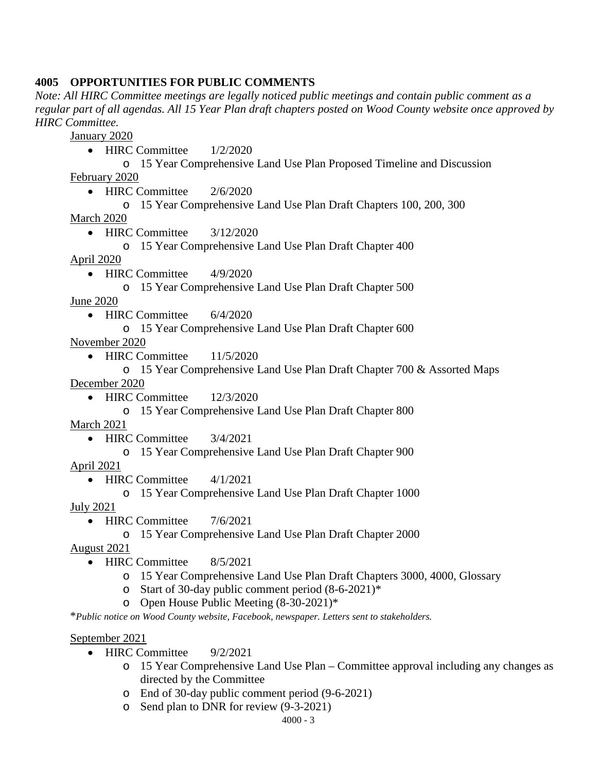# **4005 OPPORTUNITIES FOR PUBLIC COMMENTS**

*Note: All HIRC Committee meetings are legally noticed public meetings and contain public comment as a regular part of all agendas. All 15 Year Plan draft chapters posted on Wood County website once approved by HIRC Committee.* 

January 2020

• HIRC Committee  $1/2/2020$ 

o 15 Year Comprehensive Land Use Plan Proposed Timeline and Discussion February 2020

• HIRC Committee  $2/6/2020$ 

o 15 Year Comprehensive Land Use Plan Draft Chapters 100, 200, 300

March 2020

• HIRC Committee 3/12/2020

o 15 Year Comprehensive Land Use Plan Draft Chapter 400

April 2020

• HIRC Committee 4/9/2020

o 15 Year Comprehensive Land Use Plan Draft Chapter 500

June 2020

- HIRC Committee 6/4/2020
	- o 15 Year Comprehensive Land Use Plan Draft Chapter 600

November 2020

- HIRC Committee 11/5/2020
- o 15 Year Comprehensive Land Use Plan Draft Chapter 700 & Assorted Maps December 2020
	- HIRC Committee 12/3/2020
		- o 15 Year Comprehensive Land Use Plan Draft Chapter 800

March 2021

- HIRC Committee 3/4/2021
	- o 15 Year Comprehensive Land Use Plan Draft Chapter 900

April 2021

- HIRC Committee 4/1/2021
	- o 15 Year Comprehensive Land Use Plan Draft Chapter 1000

July 2021

- HIRC Committee 7/6/2021
	- o 15 Year Comprehensive Land Use Plan Draft Chapter 2000

August 2021

- HIRC Committee 8/5/2021
	- o 15 Year Comprehensive Land Use Plan Draft Chapters 3000, 4000, Glossary
	- o Start of 30-day public comment period (8-6-2021)\*
	- o Open House Public Meeting (8-30-2021)\*

\**Public notice on Wood County website, Facebook, newspaper. Letters sent to stakeholders.* 

### September 2021

- HIRC Committee 9/2/2021
	- o 15 Year Comprehensive Land Use Plan Committee approval including any changes as directed by the Committee
	- o End of 30-day public comment period (9-6-2021)
	- o Send plan to DNR for review (9-3-2021)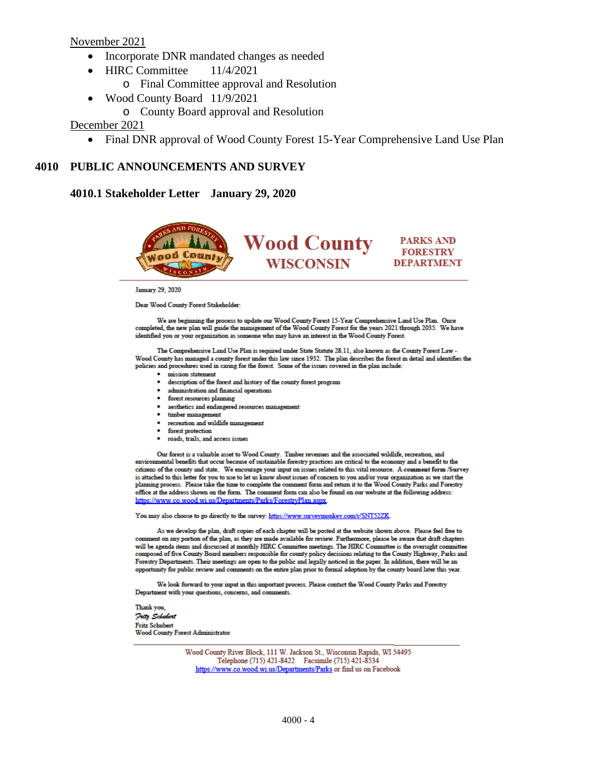November 2021

- Incorporate DNR mandated changes as needed
- HIRC Committee 11/4/2021
	- o Final Committee approval and Resolution
- Wood County Board 11/9/2021
	- o County Board approval and Resolution

December 2021

• Final DNR approval of Wood County Forest 15-Year Comprehensive Land Use Plan

# **4010 PUBLIC ANNOUNCEMENTS AND SURVEY**

**4010.1 Stakeholder Letter January 29, 2020**



**January 29, 2020** 

Dear Wood County Forest Stakeholder:

We are beginning the process to update our Wood County Forest 15-Year Comprehensive Land Use Plan. Once completed, the new plan will guide the management of the Wood County Forest for the years 2021 through 2035. We have identified you or your organization as someone who may have an interest in the Wood County Forest.

The Comprehensive Land Use Plan is required under State Statute 28.11, also known as the County Forest Law -Wood County has managed a county forest under this law since 1932. The plan describes the forest in detail and identifies the policies and procedures used in caring for the forest. Some of the issues covered in the plan include:

- · mission statement
- · description of the forest and history of the county forest program
- · administration and financial operations
- · forest resources planning
- · aesthetics and endangered resources management
- · timber management
- recreation and wildlife management
- forest protection
- · roads, trails, and access issues

Our forest is a valuable asset to Wood County. Timber revenues and the associated wildlife, recreation, and<br>environmental benefits that occur because of sustainable forestry practices are critical to the economy and a bene citizens of the county and state. We encourage your input on issues related to this vital resource. A comment form /Survey is attached to this letter for you to use to let us know about issues of concern to you and/or your organization as we start the planning process. Please take the time to complete the comment form and return it to the Wood County Parks and Forestry office at the address shown on the form. The comment form can also be found on our website at the following address: https://www.co.wood.wi.us/Departments/Parks/ForestryPlan.aspx

You may also choose to go directly to the survey: https://www.surveymonkey.com/r/SNT52ZK

As we develop the plan, draft copies of each chapter will be posted at the website shown above. Please feel free to comment on any portion of the plan, as they are made available for review. Furthermore, please be aware that draft chapters will be agenda items and discussed at monthly HIRC Committee meetings. The HIRC Committee is the oversight committee composed of five County Board members responsible for county policy decisions relating to the County Highway, Parks and Forestry Departments. Their meetings are open to the public and legally noticed in the paper. In addition, there will be an opportunity for public review and comments on the entire plan prior to formal adoption by the county board later this year.

We look forward to your input in this important process. Please contact the Wood County Parks and Forestry Department with your questions, concerns, and comments.

Thank you. **July Schubert Fritz Schubert Wood County Forest Administrator** 

> Wood County River Block, 111 W. Jackson St., Wisconsin Rapids, WI 54495 Telephone (715) 421-8422 Facsimile (715) 421-8534 https://www.co.wood.wi.us/Departments/Parks or find us on Facebook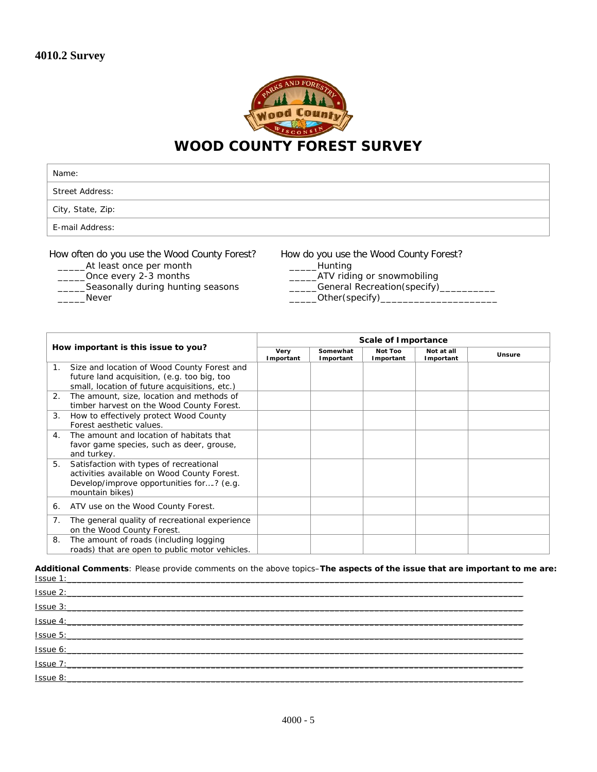

| Name:                  |  |
|------------------------|--|
| <b>Street Address:</b> |  |
| City, State, Zip:      |  |
| E-mail Address:        |  |

How often do you use the Wood County Forest?

- At least once per month
- \_\_\_\_\_Once every 2-3 months
- Seasonally during hunting seasons
- \_\_\_\_\_Never

How do you use the Wood County Forest?

- \_\_\_\_\_Hunting
- \_\_\_\_\_ATV riding or snowmobiling
- \_\_\_\_\_General Recreation(specify)\_\_\_\_\_\_\_\_\_\_
- \_Other(specify)\_

|             |                                                                                                                                                       | Scale of Importance |                       |                      |                         |        |
|-------------|-------------------------------------------------------------------------------------------------------------------------------------------------------|---------------------|-----------------------|----------------------|-------------------------|--------|
|             | How important is this issue to you?                                                                                                                   | Very<br>Important   | Somewhat<br>Important | Not Too<br>Important | Not at all<br>Important | Unsure |
| $1_{\cdot}$ | Size and location of Wood County Forest and<br>future land acquisition, (e.g. too big, too<br>small, location of future acquisitions, etc.)           |                     |                       |                      |                         |        |
| 2.          | The amount, size, location and methods of<br>timber harvest on the Wood County Forest.                                                                |                     |                       |                      |                         |        |
| 3.          | How to effectively protect Wood County<br>Forest aesthetic values.                                                                                    |                     |                       |                      |                         |        |
| 4.          | The amount and location of habitats that<br>favor game species, such as deer, grouse,<br>and turkey.                                                  |                     |                       |                      |                         |        |
| 5.          | Satisfaction with types of recreational<br>activities available on Wood County Forest.<br>Develop/improve opportunities for? (e.g.<br>mountain bikes) |                     |                       |                      |                         |        |
| 6.          | ATV use on the Wood County Forest.                                                                                                                    |                     |                       |                      |                         |        |
| 7.          | The general quality of recreational experience<br>on the Wood County Forest.                                                                          |                     |                       |                      |                         |        |
| 8.          | The amount of roads (including logging<br>roads) that are open to public motor vehicles.                                                              |                     |                       |                      |                         |        |

**Additional Comments**: Please provide comments on the above topics–*The aspects of the issue that are important to me are:* Issue 1:\_\_\_\_\_\_\_\_\_\_\_\_\_\_\_\_\_\_\_\_\_\_\_\_\_\_\_\_\_\_\_\_\_\_\_\_\_\_\_\_\_\_\_\_\_\_\_\_\_\_\_\_\_\_\_\_\_\_\_\_\_\_\_\_\_\_\_\_\_\_\_\_\_\_\_\_\_\_\_\_\_\_\_\_\_\_\_\_\_\_\_\_

| Issue 2:<br><u> 1989 - John Stein, Amerikaansk politiker († 1908)</u> |  |
|-----------------------------------------------------------------------|--|
| Issue 3:                                                              |  |
| Issue 4:                                                              |  |
| Issue 5:                                                              |  |
| Issue 6:                                                              |  |
| Issue 7:                                                              |  |
| Issue 8:                                                              |  |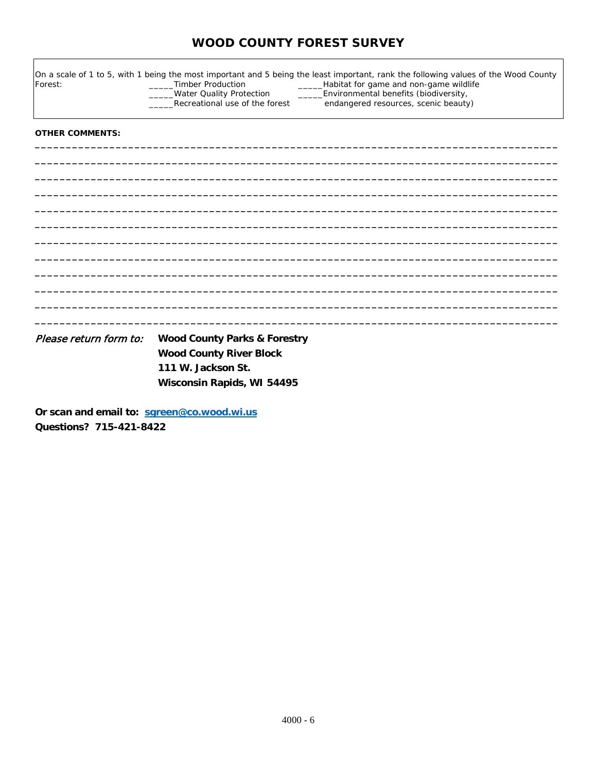# **WOOD COUNTY FOREST SURVEY**

| Forest:                | <b>Timber Production</b><br><b>Water Quality Protection</b><br>Recreational use of the forest | On a scale of 1 to 5, with 1 being the most important and 5 being the least important, rank the following values of the Wood County<br>Habitat for game and non-game wildlife<br>Environmental benefits (biodiversity,<br>endangered resources, scenic beauty) |
|------------------------|-----------------------------------------------------------------------------------------------|----------------------------------------------------------------------------------------------------------------------------------------------------------------------------------------------------------------------------------------------------------------|
| <b>OTHER COMMENTS:</b> |                                                                                               |                                                                                                                                                                                                                                                                |
|                        |                                                                                               |                                                                                                                                                                                                                                                                |
|                        |                                                                                               |                                                                                                                                                                                                                                                                |
|                        |                                                                                               |                                                                                                                                                                                                                                                                |
|                        |                                                                                               |                                                                                                                                                                                                                                                                |
|                        |                                                                                               |                                                                                                                                                                                                                                                                |
| Please return form to: | <b>Wood County Parks &amp; Forestry</b>                                                       |                                                                                                                                                                                                                                                                |

**Wood County River Block 111 W. Jackson St. Wisconsin Rapids, WI 54495**

**Or scan and email to: [sgreen@co.wood.wi.us](mailto:sgreen@co.wood.wi.us) Questions? 715-421-8422**